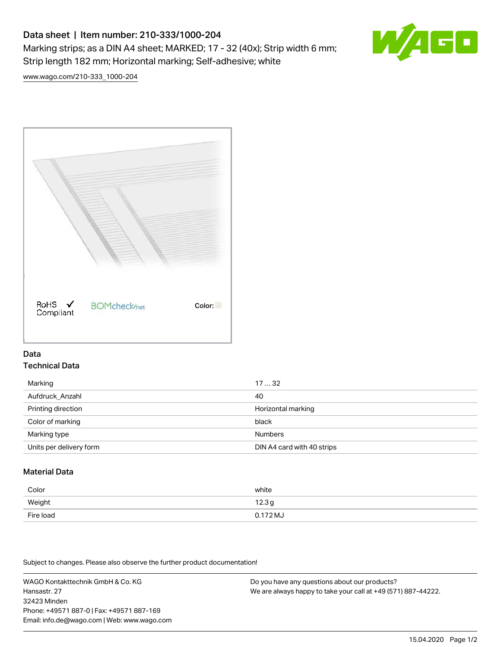# Data sheet | Item number: 210-333/1000-204 Marking strips; as a DIN A4 sheet; MARKED; 17 - 32 (40x); Strip width 6 mm; Strip length 182 mm; Horizontal marking; Self-adhesive; white



[www.wago.com/210-333\\_1000-204](http://www.wago.com/210-333_1000-204)



## Data Technical Data

| Marking                 | 1732                       |
|-------------------------|----------------------------|
| Aufdruck Anzahl         | 40                         |
| Printing direction      | Horizontal marking         |
| Color of marking        | black                      |
| Marking type            | <b>Numbers</b>             |
| Units per delivery form | DIN A4 card with 40 strips |

# Material Data

| Color     | white             |
|-----------|-------------------|
| Weight    | 12.3 <sub>g</sub> |
| Fire load | $0.172 M_J$       |

Subject to changes. Please also observe the further product documentation!

WAGO Kontakttechnik GmbH & Co. KG Hansastr. 27 32423 Minden Phone: +49571 887-0 | Fax: +49571 887-169 Email: info.de@wago.com | Web: www.wago.com

Do you have any questions about our products? We are always happy to take your call at +49 (571) 887-44222.